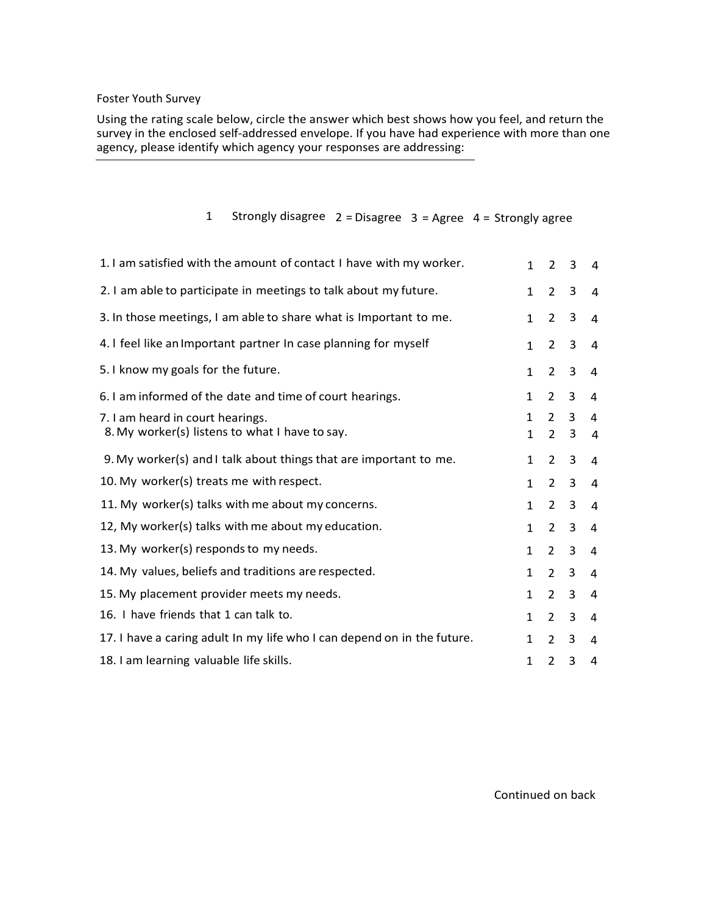## Foster Youth Survey

Using the rating scale below, circle the answer which best shows how you feel, and return the survey in the enclosed self-addressed envelope. If you have had experience with more than one agency, please identify which agency your responses are addressing:

## 1 Strongly disagree  $2 = Disagree 3 = Agree 4 = Strongly agree$

| 1. I am satisfied with the amount of contact I have with my worker.                | $\mathbf{1}$      | $\overline{2}$                  | 3      | 4              |
|------------------------------------------------------------------------------------|-------------------|---------------------------------|--------|----------------|
| 2. I am able to participate in meetings to talk about my future.                   | $\mathbf{1}$      | $\overline{2}$                  | 3      | 4              |
| 3. In those meetings, I am able to share what is Important to me.                  | $\mathbf{1}$      | $\overline{2}$                  | 3      | $\overline{4}$ |
| 4. I feel like an Important partner In case planning for myself                    | $\mathbf{1}$      | $\overline{2}$                  | 3      | $\overline{4}$ |
| 5. I know my goals for the future.                                                 | 1                 | $\overline{2}$                  | 3      | 4              |
| 6. I am informed of the date and time of court hearings.                           | $\mathbf{1}$      | 2                               | 3      | 4              |
| 7. I am heard in court hearings.<br>8. My worker(s) listens to what I have to say. | $\mathbf{1}$<br>1 | $\mathcal{P}$<br>$\overline{2}$ | 3<br>3 | 4<br>4         |
| 9. My worker(s) and I talk about things that are important to me.                  | $\mathbf{1}$      | 2                               | 3      | 4              |
| 10. My worker(s) treats me with respect.                                           | $\mathbf{1}$      | $\overline{2}$                  | 3      | 4              |
| 11. My worker(s) talks with me about my concerns.                                  | $\mathbf{1}$      | $\overline{2}$                  | 3      | 4              |
| 12, My worker(s) talks with me about my education.                                 | $\mathbf{1}$      | $\overline{2}$                  | 3      | 4              |
| 13. My worker(s) responds to my needs.                                             | $\mathbf{1}$      | 2                               | 3      | 4              |
| 14. My values, beliefs and traditions are respected.                               | $\mathbf{1}$      | $\overline{2}$                  | 3      | 4              |
| 15. My placement provider meets my needs.                                          | $\mathbf{1}$      | 2                               | 3      | 4              |
| 16. I have friends that 1 can talk to.                                             | $\mathbf{1}$      | 2                               | 3      | 4              |
| 17. I have a caring adult In my life who I can depend on in the future.            | 1                 | $\overline{2}$                  | 3      | 4              |
| 18. I am learning valuable life skills.                                            | 1                 | 2                               | 3      | 4              |

Continued on back